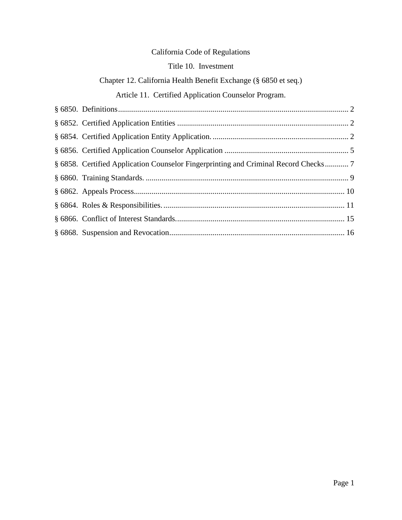# California Code of Regulations

# Title 10. Investment

# Chapter 12. California Health Benefit Exchange (§ 6850 et seq.)

# Article 11. Certified Application Counselor Program.

| § 6858. Certified Application Counselor Fingerprinting and Criminal Record Checks 7 |  |
|-------------------------------------------------------------------------------------|--|
|                                                                                     |  |
|                                                                                     |  |
|                                                                                     |  |
|                                                                                     |  |
|                                                                                     |  |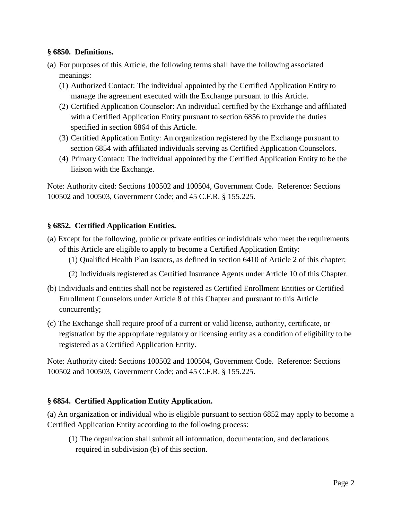### <span id="page-1-0"></span>**§ 6850. Definitions.**

- (a) For purposes of this Article, the following terms shall have the following associated meanings:
	- (1) Authorized Contact: The individual appointed by the Certified Application Entity to manage the agreement executed with the Exchange pursuant to this Article.
	- (2) Certified Application Counselor: An individual certified by the Exchange and affiliated with a Certified Application Entity pursuant to section 6856 to provide the duties specified in section 6864 of this Article.
	- (3) Certified Application Entity: An organization registered by the Exchange pursuant to section 6854 with affiliated individuals serving as Certified Application Counselors.
	- (4) Primary Contact: The individual appointed by the Certified Application Entity to be the liaison with the Exchange.

Note: Authority cited: Sections 100502 and 100504, Government Code. Reference: Sections 100502 and 100503, Government Code; and 45 C.F.R. § 155.225.

### <span id="page-1-1"></span>**§ 6852. Certified Application Entities.**

- (a) Except for the following, public or private entities or individuals who meet the requirements of this Article are eligible to apply to become a Certified Application Entity:
	- (1) Qualified Health Plan Issuers, as defined in section 6410 of Article 2 of this chapter;
	- (2) Individuals registered as Certified Insurance Agents under Article 10 of this Chapter.
- (b) Individuals and entities shall not be registered as Certified Enrollment Entities or Certified Enrollment Counselors under Article 8 of this Chapter and pursuant to this Article concurrently;
- (c) The Exchange shall require proof of a current or valid license, authority, certificate, or registration by the appropriate regulatory or licensing entity as a condition of eligibility to be registered as a Certified Application Entity.

Note: Authority cited: Sections 100502 and 100504, Government Code. Reference: Sections 100502 and 100503, Government Code; and 45 C.F.R. § 155.225.

### <span id="page-1-2"></span>**§ 6854. Certified Application Entity Application.**

(a) An organization or individual who is eligible pursuant to section 6852 may apply to become a Certified Application Entity according to the following process:

(1) The organization shall submit all information, documentation, and declarations required in subdivision (b) of this section.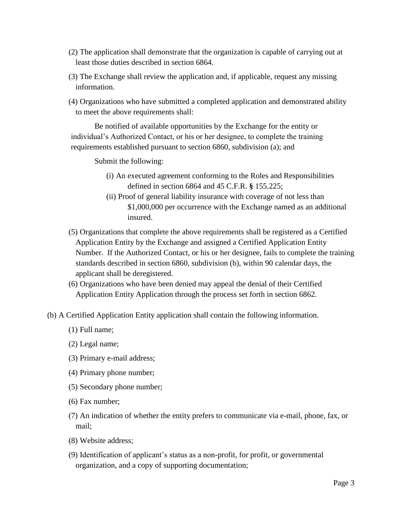- (2) The application shall demonstrate that the organization is capable of carrying out at least those duties described in section 6864.
- (3) The Exchange shall review the application and, if applicable, request any missing information.
- (4) Organizations who have submitted a completed application and demonstrated ability to meet the above requirements shall:

Be notified of available opportunities by the Exchange for the entity or individual's Authorized Contact, or his or her designee, to complete the training requirements established pursuant to section 6860, subdivision (a); and

Submit the following:

- (i) An executed agreement conforming to the Roles and Responsibilities defined in section 6864 and 45 C.F.R. **§** 155.225;
- (ii) Proof of general liability insurance with coverage of not less than \$1,000,000 per occurrence with the Exchange named as an additional insured.
- (5) Organizations that complete the above requirements shall be registered as a Certified Application Entity by the Exchange and assigned a Certified Application Entity Number. If the Authorized Contact, or his or her designee, fails to complete the training standards described in section 6860, subdivision (b), within 90 calendar days, the applicant shall be deregistered.
- (6) Organizations who have been denied may appeal the denial of their Certified Application Entity Application through the process set forth in section 6862.
- (b) A Certified Application Entity application shall contain the following information.
	- (1) Full name;
	- (2) Legal name;
	- (3) Primary e-mail address;
	- (4) Primary phone number;
	- (5) Secondary phone number;
	- (6) Fax number;
	- (7) An indication of whether the entity prefers to communicate via e-mail, phone, fax, or mail;
	- (8) Website address;
	- (9) Identification of applicant's status as a non-profit, for profit, or governmental organization, and a copy of supporting documentation;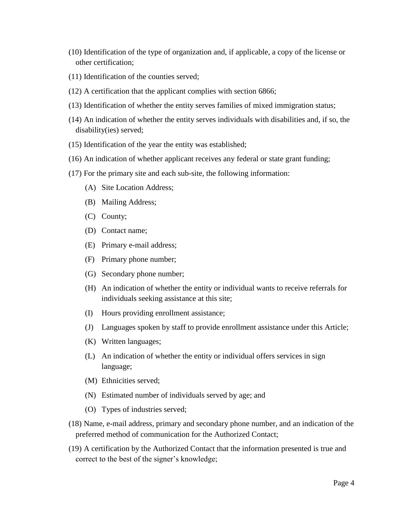- (10) Identification of the type of organization and, if applicable, a copy of the license or other certification;
- (11) Identification of the counties served;
- (12) A certification that the applicant complies with section 6866;
- (13) Identification of whether the entity serves families of mixed immigration status;
- (14) An indication of whether the entity serves individuals with disabilities and, if so, the disability(ies) served;
- (15) Identification of the year the entity was established;
- (16) An indication of whether applicant receives any federal or state grant funding;
- (17) For the primary site and each sub-site, the following information:
	- (A) Site Location Address;
	- (B) Mailing Address;
	- (C) County;
	- (D) Contact name;
	- (E) Primary e-mail address;
	- (F) Primary phone number;
	- (G) Secondary phone number;
	- (H) An indication of whether the entity or individual wants to receive referrals for individuals seeking assistance at this site;
	- (I) Hours providing enrollment assistance;
	- (J) Languages spoken by staff to provide enrollment assistance under this Article;
	- (K) Written languages;
	- (L) An indication of whether the entity or individual offers services in sign language;
	- (M) Ethnicities served;
	- (N) Estimated number of individuals served by age; and
	- (O) Types of industries served;
- (18) Name, e-mail address, primary and secondary phone number, and an indication of the preferred method of communication for the Authorized Contact;
- (19) A certification by the Authorized Contact that the information presented is true and correct to the best of the signer's knowledge;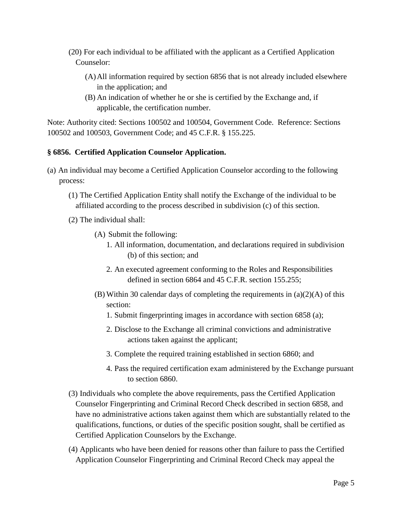- (20) For each individual to be affiliated with the applicant as a Certified Application Counselor:
	- (A)All information required by section 6856 that is not already included elsewhere in the application; and
	- (B) An indication of whether he or she is certified by the Exchange and, if applicable, the certification number.

Note: Authority cited: Sections 100502 and 100504, Government Code. Reference: Sections 100502 and 100503, Government Code; and 45 C.F.R. § 155.225.

## <span id="page-4-0"></span>**§ 6856. Certified Application Counselor Application.**

- (a) An individual may become a Certified Application Counselor according to the following process:
	- (1) The Certified Application Entity shall notify the Exchange of the individual to be affiliated according to the process described in subdivision (c) of this section.
	- (2) The individual shall:
		- (A) Submit the following:
			- 1. All information, documentation, and declarations required in subdivision (b) of this section; and
			- 2. An executed agreement conforming to the Roles and Responsibilities defined in section 6864 and 45 C.F.R. section 155.255;
		- (B) Within 30 calendar days of completing the requirements in  $(a)(2)(A)$  of this section:
			- 1. Submit fingerprinting images in accordance with section 6858 (a);
			- 2. Disclose to the Exchange all criminal convictions and administrative actions taken against the applicant;
			- 3. Complete the required training established in section 6860; and
			- 4. Pass the required certification exam administered by the Exchange pursuant to section 6860.
	- (3) Individuals who complete the above requirements, pass the Certified Application Counselor Fingerprinting and Criminal Record Check described in section 6858, and have no administrative actions taken against them which are substantially related to the qualifications, functions, or duties of the specific position sought, shall be certified as Certified Application Counselors by the Exchange.
	- (4) Applicants who have been denied for reasons other than failure to pass the Certified Application Counselor Fingerprinting and Criminal Record Check may appeal the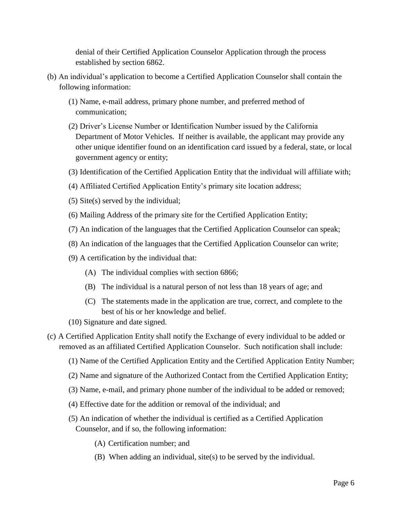denial of their Certified Application Counselor Application through the process established by section 6862.

- (b) An individual's application to become a Certified Application Counselor shall contain the following information:
	- (1) Name, e-mail address, primary phone number, and preferred method of communication;
	- (2) Driver's License Number or Identification Number issued by the California Department of Motor Vehicles. If neither is available, the applicant may provide any other unique identifier found on an identification card issued by a federal, state, or local government agency or entity;
	- (3) Identification of the Certified Application Entity that the individual will affiliate with;
	- (4) Affiliated Certified Application Entity's primary site location address;
	- (5) Site(s) served by the individual;
	- (6) Mailing Address of the primary site for the Certified Application Entity;
	- (7) An indication of the languages that the Certified Application Counselor can speak;
	- (8) An indication of the languages that the Certified Application Counselor can write;
	- (9) A certification by the individual that:
		- (A) The individual complies with section 6866;
		- (B) The individual is a natural person of not less than 18 years of age; and
		- (C) The statements made in the application are true, correct, and complete to the best of his or her knowledge and belief.
	- (10) Signature and date signed.
- (c) A Certified Application Entity shall notify the Exchange of every individual to be added or removed as an affiliated Certified Application Counselor. Such notification shall include:
	- (1) Name of the Certified Application Entity and the Certified Application Entity Number;
	- (2) Name and signature of the Authorized Contact from the Certified Application Entity;
	- (3) Name, e-mail, and primary phone number of the individual to be added or removed;
	- (4) Effective date for the addition or removal of the individual; and
	- (5) An indication of whether the individual is certified as a Certified Application Counselor, and if so, the following information:
		- (A) Certification number; and
		- (B) When adding an individual, site(s) to be served by the individual.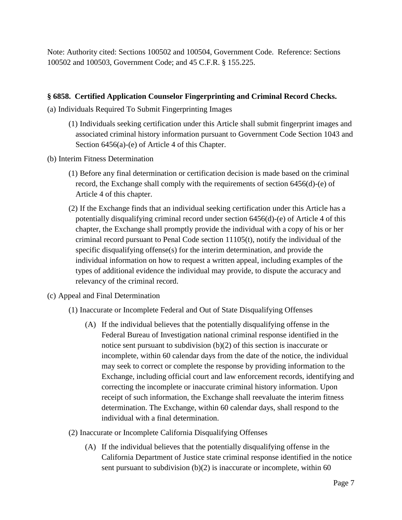Note: Authority cited: Sections 100502 and 100504, Government Code. Reference: Sections 100502 and 100503, Government Code; and 45 C.F.R. § 155.225.

### <span id="page-6-0"></span>**§ 6858. Certified Application Counselor Fingerprinting and Criminal Record Checks.**

(a) Individuals Required To Submit Fingerprinting Images

- (1) Individuals seeking certification under this Article shall submit fingerprint images and associated criminal history information pursuant to Government Code Section 1043 and Section 6456(a)-(e) of Article 4 of this Chapter.
- (b) Interim Fitness Determination
	- (1) Before any final determination or certification decision is made based on the criminal record, the Exchange shall comply with the requirements of section 6456(d)-(e) of Article 4 of this chapter.
	- (2) If the Exchange finds that an individual seeking certification under this Article has a potentially disqualifying criminal record under section 6456(d)-(e) of Article 4 of this chapter, the Exchange shall promptly provide the individual with a copy of his or her criminal record pursuant to Penal Code section 11105(t), notify the individual of the specific disqualifying offense(s) for the interim determination, and provide the individual information on how to request a written appeal, including examples of the types of additional evidence the individual may provide, to dispute the accuracy and relevancy of the criminal record.
- (c) Appeal and Final Determination
	- (1) Inaccurate or Incomplete Federal and Out of State Disqualifying Offenses
		- (A) If the individual believes that the potentially disqualifying offense in the Federal Bureau of Investigation national criminal response identified in the notice sent pursuant to subdivision (b)(2) of this section is inaccurate or incomplete, within 60 calendar days from the date of the notice, the individual may seek to correct or complete the response by providing information to the Exchange, including official court and law enforcement records, identifying and correcting the incomplete or inaccurate criminal history information. Upon receipt of such information, the Exchange shall reevaluate the interim fitness determination. The Exchange, within 60 calendar days, shall respond to the individual with a final determination.
	- (2) Inaccurate or Incomplete California Disqualifying Offenses
		- (A) If the individual believes that the potentially disqualifying offense in the California Department of Justice state criminal response identified in the notice sent pursuant to subdivision (b)(2) is inaccurate or incomplete, within 60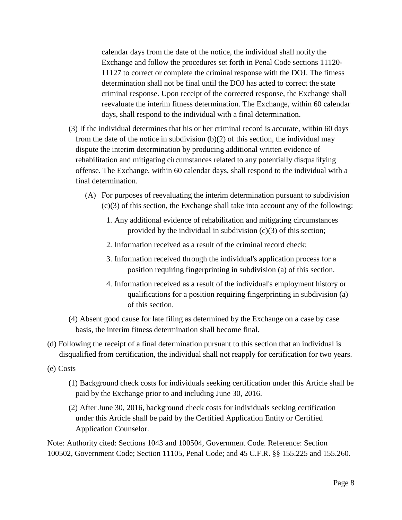calendar days from the date of the notice, the individual shall notify the Exchange and follow the procedures set forth in Penal Code sections 11120- 11127 to correct or complete the criminal response with the DOJ. The fitness determination shall not be final until the DOJ has acted to correct the state criminal response. Upon receipt of the corrected response, the Exchange shall reevaluate the interim fitness determination. The Exchange, within 60 calendar days, shall respond to the individual with a final determination.

- (3) If the individual determines that his or her criminal record is accurate, within 60 days from the date of the notice in subdivision (b)(2) of this section, the individual may dispute the interim determination by producing additional written evidence of rehabilitation and mitigating circumstances related to any potentially disqualifying offense. The Exchange, within 60 calendar days, shall respond to the individual with a final determination.
	- (A) For purposes of reevaluating the interim determination pursuant to subdivision (c)(3) of this section, the Exchange shall take into account any of the following:
		- 1. Any additional evidence of rehabilitation and mitigating circumstances provided by the individual in subdivision (c)(3) of this section;
		- 2. Information received as a result of the criminal record check;
		- 3. Information received through the individual's application process for a position requiring fingerprinting in subdivision (a) of this section.
		- 4. Information received as a result of the individual's employment history or qualifications for a position requiring fingerprinting in subdivision (a) of this section.
- (4) Absent good cause for late filing as determined by the Exchange on a case by case basis, the interim fitness determination shall become final.
- (d) Following the receipt of a final determination pursuant to this section that an individual is disqualified from certification, the individual shall not reapply for certification for two years.
- (e) Costs
	- (1) Background check costs for individuals seeking certification under this Article shall be paid by the Exchange prior to and including June 30, 2016.
	- (2) After June 30, 2016, background check costs for individuals seeking certification under this Article shall be paid by the Certified Application Entity or Certified Application Counselor.

Note: Authority cited: Sections 1043 and 100504, Government Code. Reference: Section 100502, Government Code; Section 11105, Penal Code; and 45 C.F.R. §§ 155.225 and 155.260.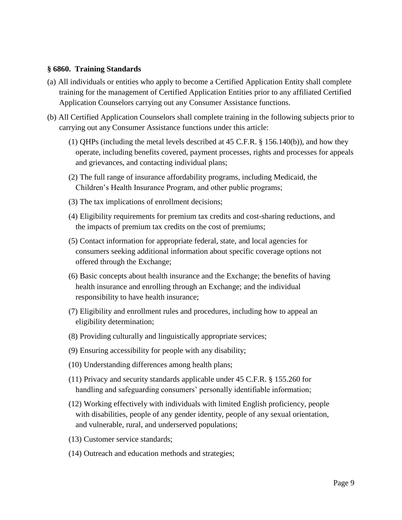#### <span id="page-8-0"></span>**§ 6860. Training Standards**

- (a) All individuals or entities who apply to become a Certified Application Entity shall complete training for the management of Certified Application Entities prior to any affiliated Certified Application Counselors carrying out any Consumer Assistance functions.
- (b) All Certified Application Counselors shall complete training in the following subjects prior to carrying out any Consumer Assistance functions under this article:
	- (1) QHPs (including the metal levels described at 45 C.F.R. § 156.140(b)), and how they operate, including benefits covered, payment processes, rights and processes for appeals and grievances, and contacting individual plans;
	- (2) The full range of insurance affordability programs, including Medicaid, the Children's Health Insurance Program, and other public programs;
	- (3) The tax implications of enrollment decisions;
	- (4) Eligibility requirements for premium tax credits and cost-sharing reductions, and the impacts of premium tax credits on the cost of premiums;
	- (5) Contact information for appropriate federal, state, and local agencies for consumers seeking additional information about specific coverage options not offered through the Exchange;
	- (6) Basic concepts about health insurance and the Exchange; the benefits of having health insurance and enrolling through an Exchange; and the individual responsibility to have health insurance;
	- (7) Eligibility and enrollment rules and procedures, including how to appeal an eligibility determination;
	- (8) Providing culturally and linguistically appropriate services;
	- (9) Ensuring accessibility for people with any disability;
	- (10) Understanding differences among health plans;
	- (11) Privacy and security standards applicable under 45 C.F.R. § 155.260 for handling and safeguarding consumers' personally identifiable information;
	- (12) Working effectively with individuals with limited English proficiency, people with disabilities, people of any gender identity, people of any sexual orientation, and vulnerable, rural, and underserved populations;
	- (13) Customer service standards;
	- (14) Outreach and education methods and strategies;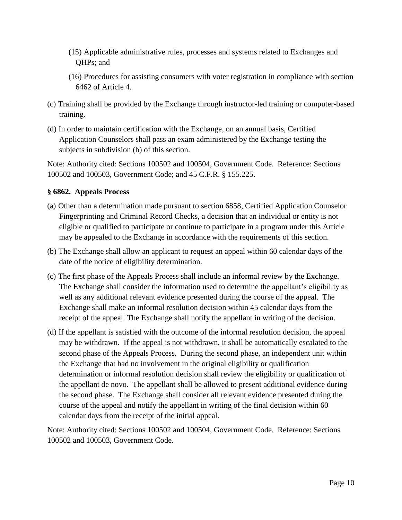- (15) Applicable administrative rules, processes and systems related to Exchanges and QHPs; and
- (16) Procedures for assisting consumers with voter registration in compliance with section 6462 of Article 4.
- (c) Training shall be provided by the Exchange through instructor-led training or computer-based training.
- (d) In order to maintain certification with the Exchange, on an annual basis, Certified Application Counselors shall pass an exam administered by the Exchange testing the subjects in subdivision (b) of this section.

Note: Authority cited: Sections 100502 and 100504, Government Code. Reference: Sections 100502 and 100503, Government Code; and 45 C.F.R. § 155.225.

## <span id="page-9-0"></span>**§ 6862. Appeals Process**

- (a) Other than a determination made pursuant to section 6858, Certified Application Counselor Fingerprinting and Criminal Record Checks, a decision that an individual or entity is not eligible or qualified to participate or continue to participate in a program under this Article may be appealed to the Exchange in accordance with the requirements of this section.
- (b) The Exchange shall allow an applicant to request an appeal within 60 calendar days of the date of the notice of eligibility determination.
- (c) The first phase of the Appeals Process shall include an informal review by the Exchange. The Exchange shall consider the information used to determine the appellant's eligibility as well as any additional relevant evidence presented during the course of the appeal. The Exchange shall make an informal resolution decision within 45 calendar days from the receipt of the appeal. The Exchange shall notify the appellant in writing of the decision.
- (d) If the appellant is satisfied with the outcome of the informal resolution decision, the appeal may be withdrawn. If the appeal is not withdrawn, it shall be automatically escalated to the second phase of the Appeals Process. During the second phase, an independent unit within the Exchange that had no involvement in the original eligibility or qualification determination or informal resolution decision shall review the eligibility or qualification of the appellant de novo. The appellant shall be allowed to present additional evidence during the second phase. The Exchange shall consider all relevant evidence presented during the course of the appeal and notify the appellant in writing of the final decision within 60 calendar days from the receipt of the initial appeal.

Note: Authority cited: Sections 100502 and 100504, Government Code. Reference: Sections 100502 and 100503, Government Code.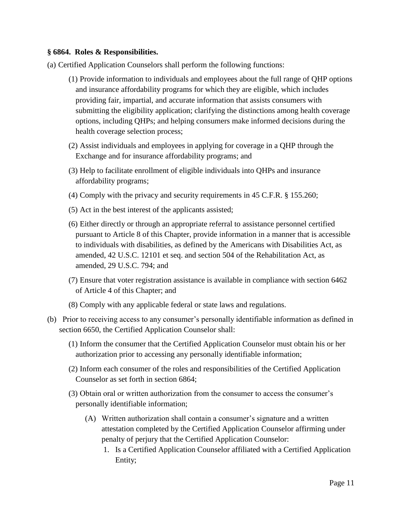#### <span id="page-10-0"></span>**§ 6864. Roles & Responsibilities.**

(a) Certified Application Counselors shall perform the following functions:

- (1) Provide information to individuals and employees about the full range of QHP options and insurance affordability programs for which they are eligible, which includes providing fair, impartial, and accurate information that assists consumers with submitting the eligibility application; clarifying the distinctions among health coverage options, including QHPs; and helping consumers make informed decisions during the health coverage selection process;
- (2) Assist individuals and employees in applying for coverage in a QHP through the Exchange and for insurance affordability programs; and
- (3) Help to facilitate enrollment of eligible individuals into QHPs and insurance affordability programs;
- (4) Comply with the privacy and security requirements in 45 C.F.R. § 155.260;
- (5) Act in the best interest of the applicants assisted;
- (6) Either directly or through an appropriate referral to assistance personnel certified pursuant to Article 8 of this Chapter, provide information in a manner that is accessible to individuals with disabilities, as defined by the Americans with Disabilities Act, as amended, 42 U.S.C. 12101 et seq. and section 504 of the Rehabilitation Act, as amended, 29 U.S.C. 794; and
- (7) Ensure that voter registration assistance is available in compliance with section 6462 of Article 4 of this Chapter; and
- (8) Comply with any applicable federal or state laws and regulations.
- (b) Prior to receiving access to any consumer's personally identifiable information as defined in section 6650, the Certified Application Counselor shall:
	- (1) Inform the consumer that the Certified Application Counselor must obtain his or her authorization prior to accessing any personally identifiable information;
	- (2) Inform each consumer of the roles and responsibilities of the Certified Application Counselor as set forth in section 6864;
	- (3) Obtain oral or written authorization from the consumer to access the consumer's personally identifiable information;
		- (A) Written authorization shall contain a consumer's signature and a written attestation completed by the Certified Application Counselor affirming under penalty of perjury that the Certified Application Counselor:
			- 1. Is a Certified Application Counselor affiliated with a Certified Application Entity;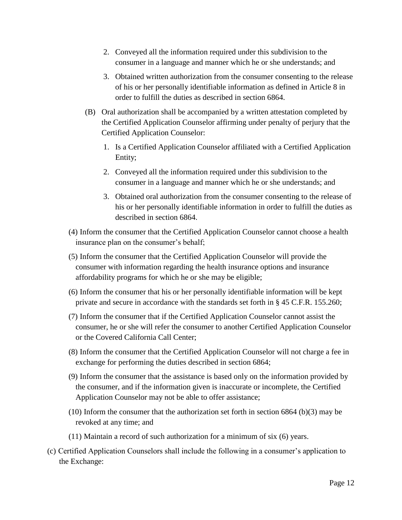- 2. Conveyed all the information required under this subdivision to the consumer in a language and manner which he or she understands; and
- 3. Obtained written authorization from the consumer consenting to the release of his or her personally identifiable information as defined in Article 8 in order to fulfill the duties as described in section 6864.
- (B) Oral authorization shall be accompanied by a written attestation completed by the Certified Application Counselor affirming under penalty of perjury that the Certified Application Counselor:
	- 1. Is a Certified Application Counselor affiliated with a Certified Application Entity;
	- 2. Conveyed all the information required under this subdivision to the consumer in a language and manner which he or she understands; and
	- 3. Obtained oral authorization from the consumer consenting to the release of his or her personally identifiable information in order to fulfill the duties as described in section 6864.
- (4) Inform the consumer that the Certified Application Counselor cannot choose a health insurance plan on the consumer's behalf;
- (5) Inform the consumer that the Certified Application Counselor will provide the consumer with information regarding the health insurance options and insurance affordability programs for which he or she may be eligible;
- (6) Inform the consumer that his or her personally identifiable information will be kept private and secure in accordance with the standards set forth in § 45 C.F.R. 155.260;
- (7) Inform the consumer that if the Certified Application Counselor cannot assist the consumer, he or she will refer the consumer to another Certified Application Counselor or the Covered California Call Center;
- (8) Inform the consumer that the Certified Application Counselor will not charge a fee in exchange for performing the duties described in section 6864;
- (9) Inform the consumer that the assistance is based only on the information provided by the consumer, and if the information given is inaccurate or incomplete, the Certified Application Counselor may not be able to offer assistance;
- (10) Inform the consumer that the authorization set forth in section 6864 (b)(3) may be revoked at any time; and
- (11) Maintain a record of such authorization for a minimum of six (6) years.
- (c) Certified Application Counselors shall include the following in a consumer's application to the Exchange: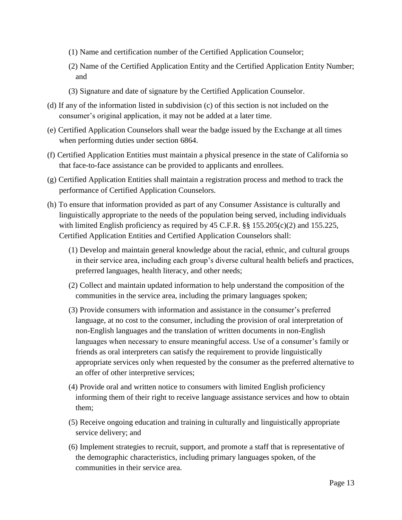- (1) Name and certification number of the Certified Application Counselor;
- (2) Name of the Certified Application Entity and the Certified Application Entity Number; and
- (3) Signature and date of signature by the Certified Application Counselor.
- (d) If any of the information listed in subdivision (c) of this section is not included on the consumer's original application, it may not be added at a later time.
- (e) Certified Application Counselors shall wear the badge issued by the Exchange at all times when performing duties under section 6864.
- (f) Certified Application Entities must maintain a physical presence in the state of California so that face-to-face assistance can be provided to applicants and enrollees.
- (g) Certified Application Entities shall maintain a registration process and method to track the performance of Certified Application Counselors.
- (h) To ensure that information provided as part of any Consumer Assistance is culturally and linguistically appropriate to the needs of the population being served, including individuals with limited English proficiency as required by 45 C.F.R. §§ 155.205(c)(2) and 155.225, Certified Application Entities and Certified Application Counselors shall:
	- (1) Develop and maintain general knowledge about the racial, ethnic, and cultural groups in their service area, including each group's diverse cultural health beliefs and practices, preferred languages, health literacy, and other needs;
	- (2) Collect and maintain updated information to help understand the composition of the communities in the service area, including the primary languages spoken;
	- (3) Provide consumers with information and assistance in the consumer's preferred language, at no cost to the consumer, including the provision of oral interpretation of non-English languages and the translation of written documents in non-English languages when necessary to ensure meaningful access. Use of a consumer's family or friends as oral interpreters can satisfy the requirement to provide linguistically appropriate services only when requested by the consumer as the preferred alternative to an offer of other interpretive services;
	- (4) Provide oral and written notice to consumers with limited English proficiency informing them of their right to receive language assistance services and how to obtain them;
	- (5) Receive ongoing education and training in culturally and linguistically appropriate service delivery; and
	- (6) Implement strategies to recruit, support, and promote a staff that is representative of the demographic characteristics, including primary languages spoken, of the communities in their service area.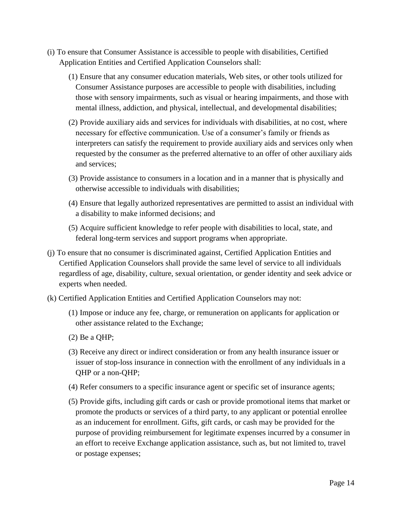- (i) To ensure that Consumer Assistance is accessible to people with disabilities, Certified Application Entities and Certified Application Counselors shall:
	- (1) Ensure that any consumer education materials, Web sites, or other tools utilized for Consumer Assistance purposes are accessible to people with disabilities, including those with sensory impairments, such as visual or hearing impairments, and those with mental illness, addiction, and physical, intellectual, and developmental disabilities;
	- (2) Provide auxiliary aids and services for individuals with disabilities, at no cost, where necessary for effective communication. Use of a consumer's family or friends as interpreters can satisfy the requirement to provide auxiliary aids and services only when requested by the consumer as the preferred alternative to an offer of other auxiliary aids and services;
	- (3) Provide assistance to consumers in a location and in a manner that is physically and otherwise accessible to individuals with disabilities;
	- (4) Ensure that legally authorized representatives are permitted to assist an individual with a disability to make informed decisions; and
	- (5) Acquire sufficient knowledge to refer people with disabilities to local, state, and federal long-term services and support programs when appropriate.
- (j) To ensure that no consumer is discriminated against, Certified Application Entities and Certified Application Counselors shall provide the same level of service to all individuals regardless of age, disability, culture, sexual orientation, or gender identity and seek advice or experts when needed.
- (k) Certified Application Entities and Certified Application Counselors may not:
	- (1) Impose or induce any fee, charge, or remuneration on applicants for application or other assistance related to the Exchange;
	- (2) Be a QHP;
	- (3) Receive any direct or indirect consideration or from any health insurance issuer or issuer of stop-loss insurance in connection with the enrollment of any individuals in a QHP or a non-QHP;
	- (4) Refer consumers to a specific insurance agent or specific set of insurance agents;
	- (5) Provide gifts, including gift cards or cash or provide promotional items that market or promote the products or services of a third party, to any applicant or potential enrollee as an inducement for enrollment. Gifts, gift cards, or cash may be provided for the purpose of providing reimbursement for legitimate expenses incurred by a consumer in an effort to receive Exchange application assistance, such as, but not limited to, travel or postage expenses;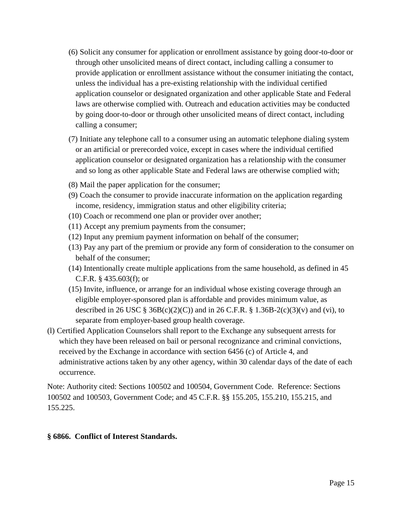- (6) Solicit any consumer for application or enrollment assistance by going door-to-door or through other unsolicited means of direct contact, including calling a consumer to provide application or enrollment assistance without the consumer initiating the contact, unless the individual has a pre-existing relationship with the individual certified application counselor or designated organization and other applicable State and Federal laws are otherwise complied with. Outreach and education activities may be conducted by going door-to-door or through other unsolicited means of direct contact, including calling a consumer;
- (7) Initiate any telephone call to a consumer using an automatic telephone dialing system or an artificial or prerecorded voice, except in cases where the individual certified application counselor or designated organization has a relationship with the consumer and so long as other applicable State and Federal laws are otherwise complied with;
- (8) Mail the paper application for the consumer;
- (9) Coach the consumer to provide inaccurate information on the application regarding income, residency, immigration status and other eligibility criteria;
- (10) Coach or recommend one plan or provider over another;
- (11) Accept any premium payments from the consumer;
- (12) Input any premium payment information on behalf of the consumer;
- (13) Pay any part of the premium or provide any form of consideration to the consumer on behalf of the consumer;
- (14) Intentionally create multiple applications from the same household, as defined in 45 C.F.R. § 435.603(f); or
- (15) Invite, influence, or arrange for an individual whose existing coverage through an eligible employer-sponsored plan is affordable and provides minimum value, as described in 26 USC § 36B(c)(2)(C)) and in 26 C.F.R. § 1.36B-2(c)(3)(v) and (vi), to separate from employer-based group health coverage.
- (l) Certified Application Counselors shall report to the Exchange any subsequent arrests for which they have been released on bail or personal recognizance and criminal convictions, received by the Exchange in accordance with section 6456 (c) of Article 4, and administrative actions taken by any other agency, within 30 calendar days of the date of each occurrence.

Note: Authority cited: Sections 100502 and 100504, Government Code. Reference: Sections 100502 and 100503, Government Code; and 45 C.F.R. §§ 155.205, 155.210, 155.215, and 155.225.

#### <span id="page-14-0"></span>**§ 6866. Conflict of Interest Standards.**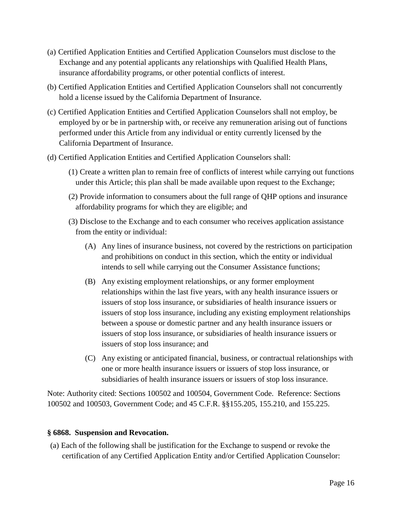- (a) Certified Application Entities and Certified Application Counselors must disclose to the Exchange and any potential applicants any relationships with Qualified Health Plans, insurance affordability programs, or other potential conflicts of interest.
- (b) Certified Application Entities and Certified Application Counselors shall not concurrently hold a license issued by the California Department of Insurance.
- (c) Certified Application Entities and Certified Application Counselors shall not employ, be employed by or be in partnership with, or receive any remuneration arising out of functions performed under this Article from any individual or entity currently licensed by the California Department of Insurance.
- (d) Certified Application Entities and Certified Application Counselors shall:
	- (1) Create a written plan to remain free of conflicts of interest while carrying out functions under this Article; this plan shall be made available upon request to the Exchange;
	- (2) Provide information to consumers about the full range of QHP options and insurance affordability programs for which they are eligible; and
	- (3) Disclose to the Exchange and to each consumer who receives application assistance from the entity or individual:
		- (A) Any lines of insurance business, not covered by the restrictions on participation and prohibitions on conduct in this section, which the entity or individual intends to sell while carrying out the Consumer Assistance functions;
		- (B) Any existing employment relationships, or any former employment relationships within the last five years, with any health insurance issuers or issuers of stop loss insurance, or subsidiaries of health insurance issuers or issuers of stop loss insurance, including any existing employment relationships between a spouse or domestic partner and any health insurance issuers or issuers of stop loss insurance, or subsidiaries of health insurance issuers or issuers of stop loss insurance; and
		- (C) Any existing or anticipated financial, business, or contractual relationships with one or more health insurance issuers or issuers of stop loss insurance, or subsidiaries of health insurance issuers or issuers of stop loss insurance.

Note: Authority cited: Sections 100502 and 100504, Government Code. Reference: Sections 100502 and 100503, Government Code; and 45 C.F.R. §§155.205, 155.210, and 155.225.

#### <span id="page-15-0"></span>**§ 6868. Suspension and Revocation.**

(a) Each of the following shall be justification for the Exchange to suspend or revoke the certification of any Certified Application Entity and/or Certified Application Counselor: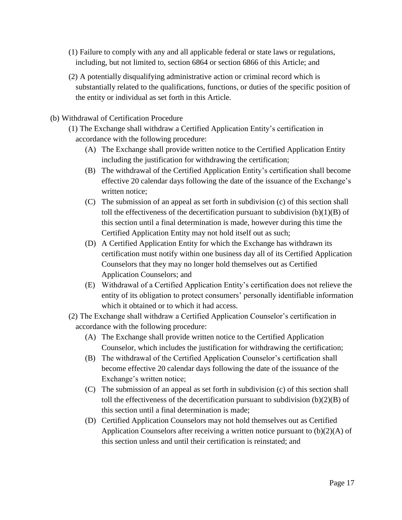- (1) Failure to comply with any and all applicable federal or state laws or regulations, including, but not limited to, section 6864 or section 6866 of this Article; and
- (2) A potentially disqualifying administrative action or criminal record which is substantially related to the qualifications, functions, or duties of the specific position of the entity or individual as set forth in this Article.
- (b) Withdrawal of Certification Procedure
	- (1) The Exchange shall withdraw a Certified Application Entity's certification in accordance with the following procedure:
		- (A) The Exchange shall provide written notice to the Certified Application Entity including the justification for withdrawing the certification;
		- (B) The withdrawal of the Certified Application Entity's certification shall become effective 20 calendar days following the date of the issuance of the Exchange's written notice;
		- (C) The submission of an appeal as set forth in subdivision (c) of this section shall toll the effectiveness of the decertification pursuant to subdivision  $(b)(1)(B)$  of this section until a final determination is made, however during this time the Certified Application Entity may not hold itself out as such;
		- (D) A Certified Application Entity for which the Exchange has withdrawn its certification must notify within one business day all of its Certified Application Counselors that they may no longer hold themselves out as Certified Application Counselors; and
		- (E) Withdrawal of a Certified Application Entity's certification does not relieve the entity of its obligation to protect consumers' personally identifiable information which it obtained or to which it had access.
	- (2) The Exchange shall withdraw a Certified Application Counselor's certification in accordance with the following procedure:
		- (A) The Exchange shall provide written notice to the Certified Application Counselor, which includes the justification for withdrawing the certification;
		- (B) The withdrawal of the Certified Application Counselor's certification shall become effective 20 calendar days following the date of the issuance of the Exchange's written notice;
		- (C) The submission of an appeal as set forth in subdivision (c) of this section shall toll the effectiveness of the decertification pursuant to subdivision  $(b)(2)(B)$  of this section until a final determination is made;
		- (D) Certified Application Counselors may not hold themselves out as Certified Application Counselors after receiving a written notice pursuant to (b)(2)(A) of this section unless and until their certification is reinstated; and